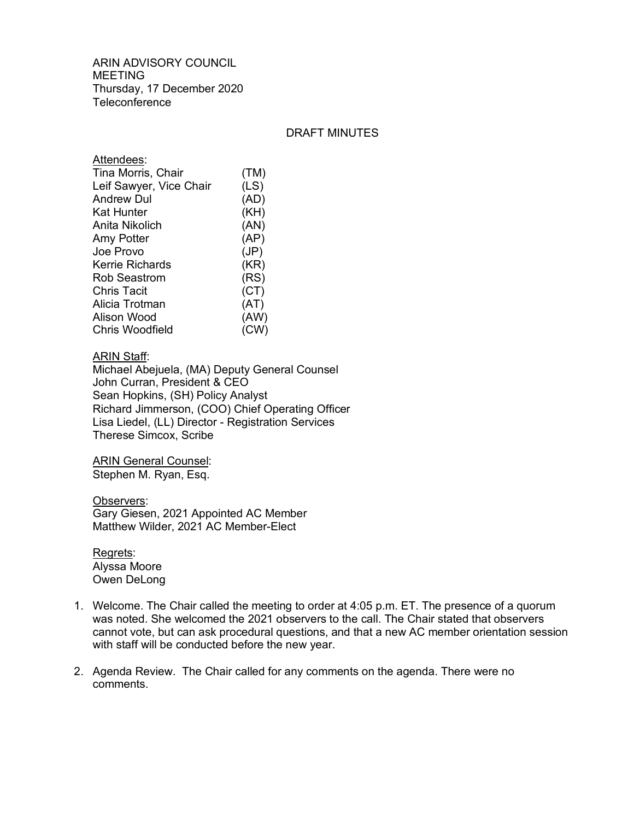ARIN ADVISORY COUNCIL MEETING Thursday, 17 December 2020 **Teleconference** 

## DRAFT MINUTES

| (TM) |
|------|
| (LS) |
| (AD) |
| (KH) |
| (AN) |
| (AP) |
| (JP) |
| (KR) |
| (RS) |
| (CT) |
| (AT) |
| (AW) |
| (CW) |
|      |

## ARIN Staff:

Michael Abejuela, (MA) Deputy General Counsel John Curran, President & CEO Sean Hopkins, (SH) Policy Analyst Richard Jimmerson, (COO) Chief Operating Officer Lisa Liedel, (LL) Director - Registration Services Therese Simcox, Scribe

ARIN General Counsel: Stephen M. Ryan, Esq.

Observers: Gary Giesen, 2021 Appointed AC Member Matthew Wilder, 2021 AC Member-Elect

Regrets: Alyssa Moore Owen DeLong

- 1. Welcome. The Chair called the meeting to order at 4:05 p.m. ET. The presence of a quorum was noted. She welcomed the 2021 observers to the call. The Chair stated that observers cannot vote, but can ask procedural questions, and that a new AC member orientation session with staff will be conducted before the new year.
- 2. Agenda Review. The Chair called for any comments on the agenda. There were no comments.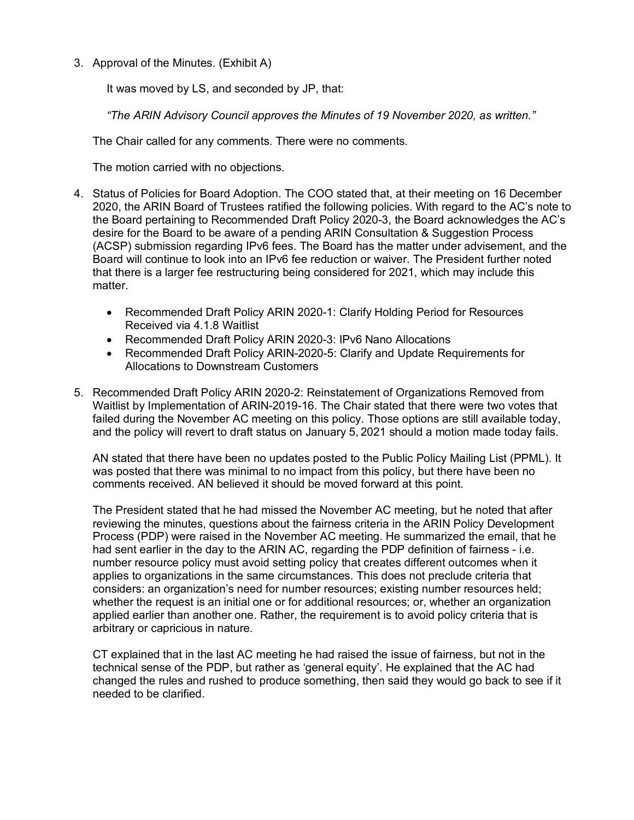3. Approval of the Minutes. (Exhibit A)

It was moved by LS, and seconded by JP, that:

*"The ARIN Advisory Council approves the Minutes of 19 November 2020, as written."* 

The Chair called for any comments. There were no comments.

The motion carried with no objections.

- 4. Status of Policies for Board Adoption. The COO stated that, at their meeting on 16 December 2020, the ARIN Board of Trustees ratified the following policies. With regard to the AC's note to the Board pertaining to Recommended Draft Policy 2020-3, the Board acknowledges the AC's desire for the Board to be aware of a pending ARIN Consultation & Suggestion Process (ACSP) submission regarding IPv6 fees. The Board has the matter under advisement, and the Board will continue to look into an IPv6 fee reduction or waiver. The President further noted that there is a larger fee restructuring being considered for 2021, which may include this matter.
	- Recommended Draft Policy ARIN 2020-1: Clarify Holding Period for Resources Received via 4.1.8 Waitlist
	- Recommended Draft Policy ARIN 2020-3: IPv6 Nano Allocations
	- Recommended Draft Policy ARIN-2020-5: Clarify and Update Requirements for Allocations to Downstream Customers
- 5. Recommended Draft Policy ARIN 2020-2: Reinstatement of Organizations Removed from Waitlist by Implementation of ARIN-2019-16. The Chair stated that there were two votes that failed during the November AC meeting on this policy. Those options are still available today, and the policy will revert to draft status on January 5, 2021 should a motion made today fails.

AN stated that there have been no updates posted to the Public Policy Mailing List (PPML). It was posted that there was minimal to no impact from this policy, but there have been no comments received. AN believed it should be moved forward at this point.

The President stated that he had missed the November AC meeting, but he noted that after reviewing the minutes, questions about the fairness criteria in the ARIN Policy Development Process (PDP) were raised in the November AC meeting. He summarized the email, that he had sent earlier in the day to the ARIN AC, regarding the PDP definition of fairness - i.e. number resource policy must avoid setting policy that creates different outcomes when it applies to organizations in the same circumstances. This does not preclude criteria that considers: an organization's need for number resources; existing number resources held; whether the request is an initial one or for additional resources; or, whether an organization applied earlier than another one. Rather, the requirement is to avoid policy criteria that is arbitrary or capricious in nature.

CT explained that in the last AC meeting he had raised the issue of fairness, but not in the technical sense of the PDP, but rather as 'general equity'. He explained that the AC had changed the rules and rushed to produce something, then said they would go back to see if it needed to be clarified.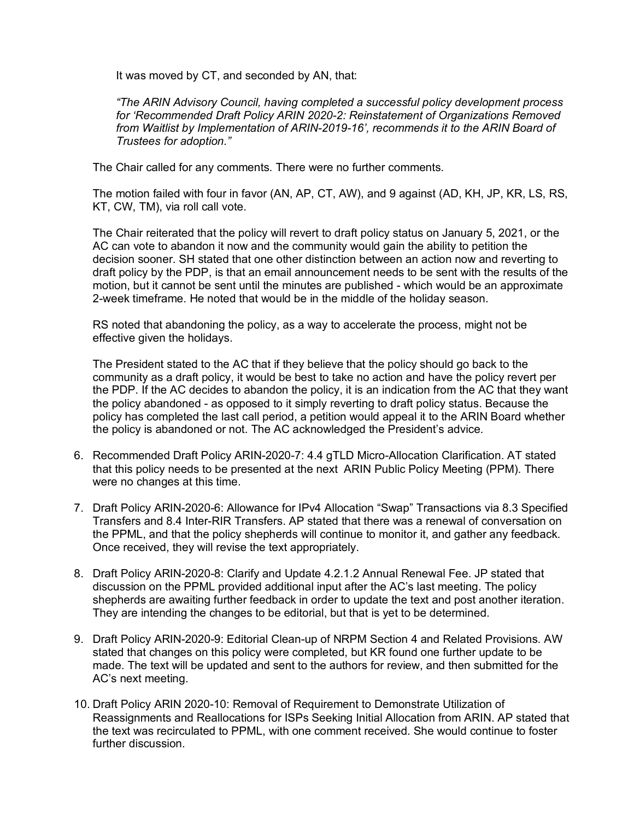It was moved by CT, and seconded by AN, that:

*"The ARIN Advisory Council, having completed a successful policy development process for 'Recommended Draft Policy ARIN 2020-2: Reinstatement of Organizations Removed from Waitlist by Implementation of ARIN-2019-16', recommends it to the ARIN Board of Trustees for adoption."*

The Chair called for any comments. There were no further comments.

The motion failed with four in favor (AN, AP, CT, AW), and 9 against (AD, KH, JP, KR, LS, RS, KT, CW, TM), via roll call vote.

The Chair reiterated that the policy will revert to draft policy status on January 5, 2021, or the AC can vote to abandon it now and the community would gain the ability to petition the decision sooner. SH stated that one other distinction between an action now and reverting to draft policy by the PDP, is that an email announcement needs to be sent with the results of the motion, but it cannot be sent until the minutes are published - which would be an approximate 2-week timeframe. He noted that would be in the middle of the holiday season.

RS noted that abandoning the policy, as a way to accelerate the process, might not be effective given the holidays.

The President stated to the AC that if they believe that the policy should go back to the community as a draft policy, it would be best to take no action and have the policy revert per the PDP. If the AC decides to abandon the policy, it is an indication from the AC that they want the policy abandoned - as opposed to it simply reverting to draft policy status. Because the policy has completed the last call period, a petition would appeal it to the ARIN Board whether the policy is abandoned or not. The AC acknowledged the President's advice.

- 6. Recommended Draft Policy ARIN-2020-7: 4.4 gTLD Micro-Allocation Clarification. AT stated that this policy needs to be presented at the next ARIN Public Policy Meeting (PPM). There were no changes at this time.
- 7. Draft Policy ARIN-2020-6: Allowance for IPv4 Allocation "Swap" Transactions via 8.3 Specified Transfers and 8.4 Inter-RIR Transfers. AP stated that there was a renewal of conversation on the PPML, and that the policy shepherds will continue to monitor it, and gather any feedback. Once received, they will revise the text appropriately.
- 8. Draft Policy ARIN-2020-8: Clarify and Update 4.2.1.2 Annual Renewal Fee. JP stated that discussion on the PPML provided additional input after the AC's last meeting. The policy shepherds are awaiting further feedback in order to update the text and post another iteration. They are intending the changes to be editorial, but that is yet to be determined.
- 9. Draft Policy ARIN-2020-9: Editorial Clean-up of NRPM Section 4 and Related Provisions. AW stated that changes on this policy were completed, but KR found one further update to be made. The text will be updated and sent to the authors for review, and then submitted for the AC's next meeting.
- 10. Draft Policy ARIN 2020-10: Removal of Requirement to Demonstrate Utilization of Reassignments and Reallocations for ISPs Seeking Initial Allocation from ARIN. AP stated that the text was recirculated to PPML, with one comment received. She would continue to foster further discussion.